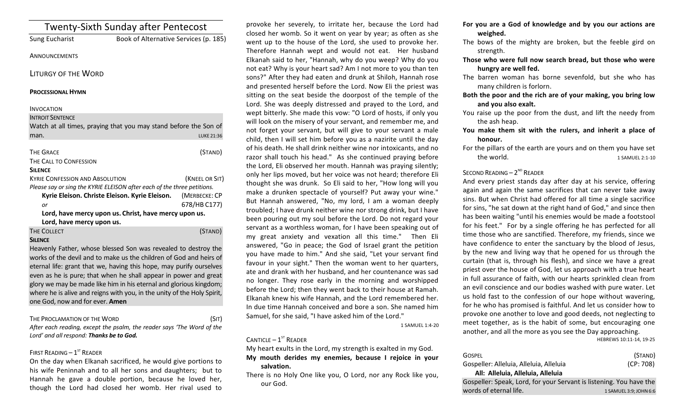| <b>Twenty-Sixth Sunday after Pentecost</b>                              |                                       |                   |
|-------------------------------------------------------------------------|---------------------------------------|-------------------|
| Sung Eucharist                                                          | Book of Alternative Services (p. 185) |                   |
| ANNOUNCEMENTS                                                           |                                       |                   |
| LITURGY OF THE WORD                                                     |                                       |                   |
| <b>PROCESSIONAL HYMN</b>                                                |                                       |                   |
| <b>INVOCATION</b>                                                       |                                       |                   |
| <b>INTROIT SENTENCE</b>                                                 |                                       |                   |
| Watch at all times, praying that you may stand before the Son of        |                                       |                   |
| man.                                                                    |                                       | <b>LUKE 21:36</b> |
| <b>THE GRACE</b>                                                        |                                       | (STAND)           |
| THE CALL TO CONFESSION                                                  |                                       |                   |
| <b>SILENCE</b>                                                          |                                       |                   |
| <b>KYRIE CONFESSION AND ABSOLUTION</b>                                  |                                       | (KNEEL OR SIT)    |
| Please say or sing the KYRIE ELEISON after each of the three petitions. |                                       |                   |
| Kyrie Eleison. Christe Eleison. Kyrie Eleison.                          |                                       | (MERBECKE: CP     |
| or                                                                      |                                       | 678/HB C177)      |
| Lord, have mercy upon us. Christ, have mercy upon us.                   |                                       |                   |
| Lord, have mercy upon us.                                               |                                       |                   |
| THE COLLECT                                                             |                                       | (STAND)           |
| <b>SILENCE</b>                                                          |                                       |                   |
| Llooughly Fothor whose blossed Can was revealed to destroy the          |                                       |                   |

Heavenly Father, whose blessed Son was revealed to destroy the works of the devil and to make us the children of God and heirs of eternal life: grant that we, having this hope, may purify ourselves even as he is pure; that when he shall appear in power and great glory we may be made like him in his eternal and glorious kingdom; where he is alive and reigns with you, in the unity of the Holy Spirit, one God, now and for ever. **Amen**

# THE PROCLAMATION OF THE WORD (SIT)

After each reading, except the psalm, the reader says 'The Word of the Lord' and all respond: Thanks be to God.

# FIRST READING  $-1<sup>ST</sup>$  READER

On the day when Elkanah sacrificed, he would give portions to his wife Peninnah and to all her sons and daughters; but to Hannah he gave a double portion, because he loved her, though the Lord had closed her womb. Her rival used to

provoke her severely, to irritate her, because the Lord had closed her womb. So it went on year by year; as often as she went up to the house of the Lord, she used to provoke her. Therefore Hannah wept and would not eat. Her husband Elkanah said to her, "Hannah, why do you weep? Why do you not eat? Why is your heart sad? Am I not more to you than ten sons?" After they had eaten and drunk at Shiloh, Hannah rose and presented herself before the Lord. Now Eli the priest was sitting on the seat beside the doorpost of the temple of the Lord. She was deeply distressed and prayed to the Lord, and wept bitterly. She made this vow: "O Lord of hosts, if only you will look on the misery of your servant, and remember me, and not forget your servant, but will give to your servant a male child, then I will set him before you as a nazirite until the day of his death. He shall drink neither wine nor intoxicants, and no razor shall touch his head." As she continued praying before the Lord, Eli observed her mouth. Hannah was praying silently; only her lips moved, but her voice was not heard; therefore Eli thought she was drunk. So Eli said to her, "How long will you make a drunken spectacle of yourself? Put away your wine." But Hannah answered, "No, my lord, I am a woman deeply troubled; I have drunk neither wine nor strong drink, but I have been pouring out my soul before the Lord. Do not regard your servant as a worthless woman, for I have been speaking out of my great anxiety and vexation all this time." Then Eli answered, "Go in peace; the God of Israel grant the petition you have made to him." And she said, "Let your servant find favour in your sight." Then the woman went to her quarters, ate and drank with her husband, and her countenance was sad no longer. They rose early in the morning and worshipped before the Lord; then they went back to their house at Ramah. Elkanah knew his wife Hannah, and the Lord remembered her. In due time Hannah conceived and bore a son. She named him Samuel, for she said, "I have asked him of the Lord."

1 SAMUEL 1:4-20

# CANTICLE  $-1^{ST}$  READER

My heart exults in the Lord, my strength is exalted in my God. **My mouth derides my enemies, because I rejoice in your salvation.** 

There is no Holy One like you, O Lord, nor any Rock like you, our God.

- For you are a God of knowledge and by you our actions are **weighed.**
- The bows of the mighty are broken, but the feeble gird on strength.
- Those who were full now search bread, but those who were hungry are well fed.
- The barren woman has borne sevenfold, but she who has many children is forlorn.
- Both the poor and the rich are of your making, you bring low **and you also exalt.**
- You raise up the poor from the dust, and lift the needy from the ash heap.
- You make them sit with the rulers, and inherit a place of **honour.**
- For the pillars of the earth are yours and on them you have set the world. The more contract to the world.

# SECOND READING  $- 2^{ND}$  READER

And every priest stands day after day at his service, offering again and again the same sacrifices that can never take away sins. But when Christ had offered for all time a single sacrifice for sins, "he sat down at the right hand of God," and since then has been waiting "until his enemies would be made a footstool for his feet." For by a single offering he has perfected for all time those who are sanctified. Therefore, my friends, since we have confidence to enter the sanctuary by the blood of Jesus, by the new and living way that he opened for us through the curtain (that is, through his flesh), and since we have a great priest over the house of God, let us approach with a true heart in full assurance of faith, with our hearts sprinkled clean from an evil conscience and our bodies washed with pure water. Let us hold fast to the confession of our hope without wavering, for he who has promised is faithful. And let us consider how to provoke one another to love and good deeds, not neglecting to meet together, as is the habit of some, but encouraging one another, and all the more as you see the Day approaching.

HEBREWS 10:11-14, 19-25

| <b>GOSPEL</b>                                                       | (STAND)                |
|---------------------------------------------------------------------|------------------------|
| Gospeller: Alleluia, Alleluia, Alleluia                             | (CP: 708)              |
| All: Alleluia, Alleluia, Alleluia                                   |                        |
| Gospeller: Speak, Lord, for your Servant is listening. You have the |                        |
| words of eternal life.                                              | 1 SAMUEL 3:9; JOHN 6:6 |